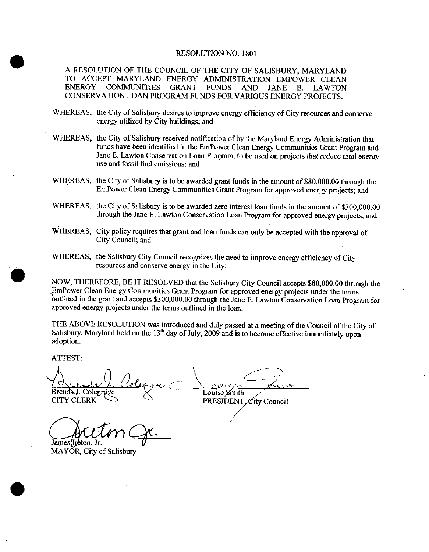## RESOLUTION NO. 1801

A RESOLUTION OF THE COUNCIL OF THE CITY OF SALISBURY MARYLAND TO ACCEPT MARYLAND ENERGY ADMINISTRATION EMPOWER CLEAN ENERGY COMMUNITIES GRANT FUNDS AND JANE E LAWTON CONSERVATION LOAN PROGRAM FUNDS FOR VARIOUS ENERGY PROJECTS

- WHEREAS, the City of Salisbury desires to improve energy efficiency of City resources and conserve energy utilized by City buildings; and
- WHEREAS, the City of Salisbury received notification of by the Maryland Energy Administration that funds have been identified in the EmPower Clean Energy Communities Grant Program and Jane E. Lawton Conservation Loan Program, to be used on projects that reduce total energy use and fossil fuel emissions; and
- WHEREAS, the City of Salisbury is to be awarded grant funds in the amount of \$80,000.00 through the EmPower Clean Energy Communities Grant Program for approved energy projects; and
- WHEREAS, the City of Salisbury is to be awarded zero interest loan funds in the amount of \$300,000.00 through the Jane E. Lawton Conservation Loan Program for approved energy projects; and
- WHEREAS, City policy requires that grant and loan funds can only be accepted with the approval of City Council; and
- WHEREAS, the Salisbury City Council recognizes the need to improve energy efficiency of City resources and conserve energy in the City:

resources and conserve energy in the City;<br>NOW, THEREFORE, BE IT RESOLVED that the Salisbury City Council accepts \$80,000.00 through the<br>EmPower Clean Energy Communities Grant Program for approved energy projects under the EmPower Clean Energy Communities Grant Program for approved energy projects under the terms<br>outlined in the grant and accepts \$300,000.00 through the Jane E. Lawton Conservation Loan Program for NOW, THEREFORE, BE IT RESOLVED that the Salisbury City Council accepts \$80,000.00 through the EmPower Clean Energy Communities Grant Program for approved energy projects under the terms outlined in the grant and accepts \$3 approved energy projects under the terms outlined in the loan.

THE ABOVE RESOLUTION was introduced and duly passed at a meeting of the Council of the City of Salisbury, Maryland held on the  $13<sup>th</sup>$  day of July, 2009 and is to become effective immediately upon adoption

ATTEST

Brenda J. Colegrove Louise Smith **CITY CLERK** PRESIDENT City Council

James (Iretion, Jr.

MAYOR, City of Salisbury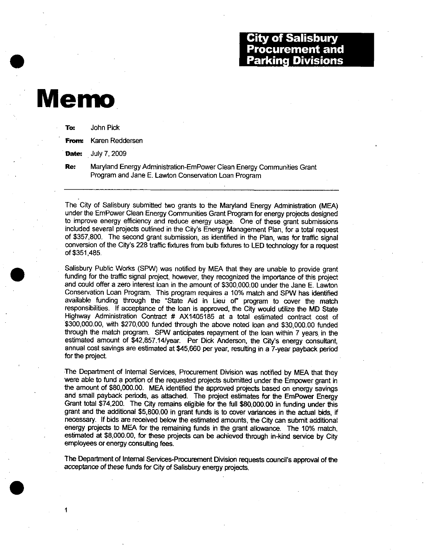## City of Salisbury **Procurement and** Parking Divisions

## Memo

| To: | John Pick                    |  |  |  |
|-----|------------------------------|--|--|--|
|     | <b>From:</b> Karen Reddersen |  |  |  |
|     | <b>Date:</b> July 7, 2009    |  |  |  |
| Re: | Maryland Energy Admi         |  |  |  |

nistration-EmPower Clean Energy Communities Grant Program and Jane E. Lawton Conservation Loan Program

The City of Salisbury submitted two grants to the Maryland Energy Administration (MEA) Included the Empower Clean Energy Communities Grant Program for energy projects designed<br>to improve energy efficiency and reduce energy usage. One of these grant submissions<br>included several projects outlined in the City's to improve energy efficiency and reduce energy usage. One of these grant submissions included several projects outlined in the City's Energy Management Plan, for a total request Included several projects outlined in the City's Energy Management Plan, for a total request<br>of \$357,800. The second grant submission, as identified in the Plan, was for traffic signal<br>conversion of the City's 228 traffic conversion of the City's 228 traffic fixtures from bulb fixtures to LED technology for a request of \$351,485.

Salisbury Public Works (SPW) was notified by MEA that they are unable to provide grant funding for the traffic signal project, however, they recognized the importance of this project and could offer a zero interest loan in the amount of \$300,000.00 under the Jane E. Lawton Conservation Loan Program. This program requires a 10% match and SPW has identified available funding through the "State Aid in Lieu of" program to cover the match responsibilities. If acceptance of the loan is approved, the City would utilize the MD State<br>Highway Administration Contract # AX1405185 at a total estimated contract cost of<br>\$300,000.00, with \$270,000 funded through the a Highway Administration Contract # AX1405185 at a total estimated contract cost of \$300,000.00, with \$270,000 funded through the above noted loan and \$30,000.00 funded through the match program. SPW anticipates repayment of the loan within 7 years in the Highway Administration Contract  $#$  AX1405185 at a total estimated contract cost of \$300,000.00, with \$270,000 funded through the above noted loan and \$30,000.00 funded through the match program. SPW anticipates repayment assoc,000.00, with az70,000 runded through the above noted toan and \$30,000.00 runded<br>through the match program. SPW anticipates repayment of the loan within 7 years in the<br>estimated amount of \$42,857.14/year. Per Dick And annual cost savings are estimated at \$45,660 per year, resulting in a 7-year payback period for the project.

The Department of Internal Services, Procurement Division was notified by MEA that they were able to fund a portion of the requested projects submitted under the Empower grant in the amount of \$80,000.00. MEA identified th were able to fund a portion of the requested projects submitted under the Empower grant in the amount of \$80,000.00. MEA identified the approved projects based on energy sayings and small payback periods, as attached. The project estimates for the EmPower Energy Grant total \$74,200. The City remains eligible for the full \$80,000.00 in funding under this grant and the additional \$5,800.00 in grant funds is to cover variances in the actual bids, if were able to fund a portion of the requested projects submitted under the Empower grant in<br>the amount of \$80,000.00. MEA identified the approved projects based on energy savings<br>and small payback periods, as attached. The necessary. If bids are received below the estimated amounts, the City can submit additional energy projects to MEA for the remaining funds in the grant allowance. The 10% match, estimated at \$8,000.00, for these projects c and small payback periods, as attached. The project estimates for the EmPower Energy Grant total \$74,200. The City remains eligible for the full \$80,000.00 in funding under this grant and the additional \$5,800.00 in grant estimated at \$8,000.00, for these projects can be achieved through in-kind service by City employees or energy consulting fees.

The Department of Internal Services-Procurement Division requests council's approval of the acceptance of these funds for City of Salisbury energy projects.